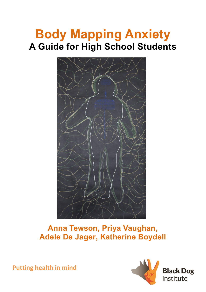# **Body Mapping Anxiety A Guide for High School Students**



## **Anna Tewson, Priya Vaughan, Adele De Jager, Katherine Boydell**

**Putting health in mind** 

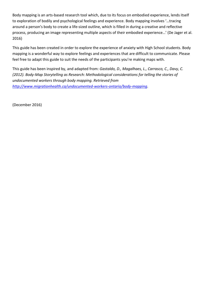Body mapping is an arts-based research tool which, due to its focus on embodied experience, lends itself to exploration of bodily and psychological feelings and experience. Body mapping involves '…tracing around a person's body to create a life-sized outline, which is filled in during a creative and reflective process, producing an image representing multiple aspects of their embodied experience…' (De Jager et al. 2016)

This guide has been created in order to explore the experience of anxiety with High School students. Body mapping is a wonderful way to explore feelings and experiences that are difficult to communicate. Please feel free to adapt this guide to suit the needs of the participants you're making maps with.

This guide has been inspired by, and adapted from: *Gastaldo, D., Magalhaes, L., Carrasco, C., Davy, C. (2012). Body-Map Storytelling as Research: Methodological considerations for telling the stories of undocumented workers through body mapping. Retrieved from [http://www.migrationhealth.ca/undocumented-workers-ontario/body-mapping.](http://www.migrationhealth.ca/undocumented-workers-ontario/body-mapping)* 

(December 2016)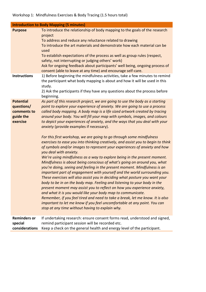| <b>Introduction to Body Mapping (5 minutes)</b>                        |                                                                                                                                                                                                                                                                                                                                                                                                                                                                                                                                                                                                                                                                                                                                                                                                                                                                                                                                                                                                                                                                                                                                                                                                                                                                                                                                                                                                                                                                                                                                                             |
|------------------------------------------------------------------------|-------------------------------------------------------------------------------------------------------------------------------------------------------------------------------------------------------------------------------------------------------------------------------------------------------------------------------------------------------------------------------------------------------------------------------------------------------------------------------------------------------------------------------------------------------------------------------------------------------------------------------------------------------------------------------------------------------------------------------------------------------------------------------------------------------------------------------------------------------------------------------------------------------------------------------------------------------------------------------------------------------------------------------------------------------------------------------------------------------------------------------------------------------------------------------------------------------------------------------------------------------------------------------------------------------------------------------------------------------------------------------------------------------------------------------------------------------------------------------------------------------------------------------------------------------------|
| <b>Purpose</b><br><b>Instructions</b>                                  | To introduce the relationship of body mapping to the goals of the research<br>project<br>To address and reduce any reluctance related to drawing<br>To introduce the art materials and demonstrate how each material can be<br>used<br>To establish expectations of the process as well as group rules (respect,<br>safety, not interrupting or judging others' work)<br>Ask for ongoing feedback about participants' well being, ongoing process of<br>consent (able to leave at any time) and encourage self-care.<br>1) Before beginning the mindfulness activities, take a few minutes to remind                                                                                                                                                                                                                                                                                                                                                                                                                                                                                                                                                                                                                                                                                                                                                                                                                                                                                                                                                        |
|                                                                        | the participant what body mapping is about and how it will be used in this<br>study.<br>2) Ask the participants if they have any questions about the process before<br>beginning.                                                                                                                                                                                                                                                                                                                                                                                                                                                                                                                                                                                                                                                                                                                                                                                                                                                                                                                                                                                                                                                                                                                                                                                                                                                                                                                                                                           |
| <b>Potential</b><br>questions/<br>comments to<br>guide the<br>exercise | As part of this research project, we are going to use the body as a starting<br>point to explore your experience of anxiety. We are going to use a process<br>called body mapping. A body map is a life sized artwork created by tracing<br>around your body. You will fill your map with symbols, images, and colours<br>to depict your experiences of anxiety, and the ways that you deal with your<br>anxiety (provide examples if necessary).<br>For this first workshop, we are going to go through some mindfulness<br>exercises to ease you into thinking creatively, and assist you to begin to think<br>of symbols and/or images to represent your experiences of anxiety and how<br>you deal with anxiety.<br>We're using mindfulness as a way to explore being in the present moment.<br>Mindfulness is about being conscious of what's going on around you, what<br>you're doing, seeing and feeling in the present moment. Mindfulness is an<br>important part of engagement with yourself and the world surrounding you.<br>These exercises will also assist you in deciding what posture you want your<br>body to be in on the body map. Feeling and listening to your body in the<br>present moment may assist you to reflect on how you experience anxiety,<br>and what it is you would like your body map to communicate.<br>Remember, if you feel tired and need to take a break, let me know. It is also<br>important to let me know if you feel uncomfortable at any point. You can<br>stop at any time without having to explain why. |
| <b>Reminders or</b><br>special<br>considerations                       | If undertaking research: ensure consent forms read, understood and signed,<br>remind participant session will be recorded etc.<br>Keep a check on the general health and energy level of the participant.                                                                                                                                                                                                                                                                                                                                                                                                                                                                                                                                                                                                                                                                                                                                                                                                                                                                                                                                                                                                                                                                                                                                                                                                                                                                                                                                                   |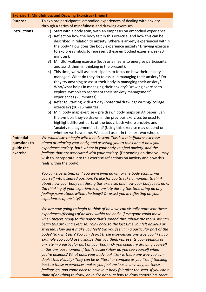|                                                           | <b>Exercise 1: Mindfulness and Drawing Exercises (1 hour)</b>                                                                                                                                                                                                                                                                                                                                                                                                                                                                                                                                                                                                                                                                                                                                                                                                                                                                                                                                                                                                                                                                    |
|-----------------------------------------------------------|----------------------------------------------------------------------------------------------------------------------------------------------------------------------------------------------------------------------------------------------------------------------------------------------------------------------------------------------------------------------------------------------------------------------------------------------------------------------------------------------------------------------------------------------------------------------------------------------------------------------------------------------------------------------------------------------------------------------------------------------------------------------------------------------------------------------------------------------------------------------------------------------------------------------------------------------------------------------------------------------------------------------------------------------------------------------------------------------------------------------------------|
| <b>Purpose</b>                                            | To explore participants' embodied experiences of dealing with anxiety<br>through a series of mindfulness and drawing exercises.                                                                                                                                                                                                                                                                                                                                                                                                                                                                                                                                                                                                                                                                                                                                                                                                                                                                                                                                                                                                  |
| <b>Instructions</b>                                       | 1) Start with a body scan, with an emphasis on embodied experience.<br>Reflect on how the body felt in this exercise, and how this can be<br>2)<br>described in relation to anxiety. Where is anxiety experienced within<br>the body? How does the body experience anxiety? Drawing exercise<br>to explore symbols to represent these embodied experiences (20<br>minutes).                                                                                                                                                                                                                                                                                                                                                                                                                                                                                                                                                                                                                                                                                                                                                      |
|                                                           | Mindful walking exercise (both as a means to energise participants,<br>3)<br>and assist them in thinking in the present).                                                                                                                                                                                                                                                                                                                                                                                                                                                                                                                                                                                                                                                                                                                                                                                                                                                                                                                                                                                                        |
|                                                           | This time, we will ask participants to focus on how their anxiety is<br>4)<br>managed. What do they do to assist in managing their anxiety? Do<br>they try anything to assist their body in managing their anxiety?<br>Who/what helps in managing their anxiety? Drawing exercise to<br>explore symbols to represent their 'anxiety management'<br>experiences (20 minutes)                                                                                                                                                                                                                                                                                                                                                                                                                                                                                                                                                                                                                                                                                                                                                      |
|                                                           | 5) Refer to Starting with Art day (potential drawing/writing/collage<br>exercise?) (10 -15 minutes)                                                                                                                                                                                                                                                                                                                                                                                                                                                                                                                                                                                                                                                                                                                                                                                                                                                                                                                                                                                                                              |
|                                                           | 6) Mini body map exercise – pre drawn body maps on A4 paper. Can<br>the symbols they've drawn in the previous exercises be used to<br>highlight different parts of the body, both where anxiety, and<br>'anxiety management' is felt? (Using this exercise may depend on<br>whether we have time. We could use it in the next workshop).                                                                                                                                                                                                                                                                                                                                                                                                                                                                                                                                                                                                                                                                                                                                                                                         |
| <b>Potential</b><br>questions to<br>guide the<br>exercise | We would like to begin with a body scan. This is a mindfulness exercise<br>aimed at relaxing your body, and assisting you to think about how you<br>experience anxiety, both where in your body you feel anxiety, and the<br>feelings that are associated with your anxiety. (Depending on time you may<br>wish to incorporate into this exercise reflections on anxiety and how this<br>feels within the body).                                                                                                                                                                                                                                                                                                                                                                                                                                                                                                                                                                                                                                                                                                                 |
|                                                           | You can stay sitting, or if you were lying down for the body scan, bring<br>yourself into a seated position. I'd like for you to take a moment to think<br>about how your body felt during this exercise, and how your body feels now.<br>Did thinking of your experiences of anxiety during this time bring up any<br>feelings/sensations within the body? Or assist you in reflecting on your<br>experiences of anxiety?                                                                                                                                                                                                                                                                                                                                                                                                                                                                                                                                                                                                                                                                                                       |
|                                                           | We are now going to begin to think of how we can visually represent these<br>experiences/feelings of anxiety within the body. If everyone could move<br>when they're ready to the paper that's spread throughout the room, we can<br>begin this drawing exercise. Think back to the last time you felt anxious or<br>stressed. How did it make you feel? Did you feel it in a particular part of the<br>body? How is it felt? You can depict these experiences any way you like for<br>example you could use a shape that you think represents your feelings of<br>anxiety in a particular part of your body? Or you could try drawing yourself<br>in this anxious moment if that's easier? How do you see yourself when<br>you're anxious? What does your body look like? Is there any way you can<br>depict this visually? They can be as literal or complex as you like. If thinking<br>back to these experiences makes you feel anxious in any way, let these<br>feelings go, and come back to how your body felt after the scan. If you can't<br>think of anything to draw, or you're not sure how to draw something, there |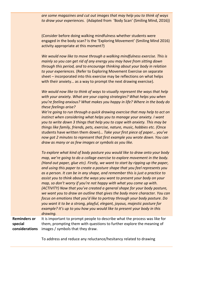*are some magazines and cut out images that may help you to think of ways to draw your experiences.* (Adapted from 'Body Scan' (Smiling Mind, 2016))

(Consider before doing walking mindfulness whether students were engaged in the body scan? Is the 'Exploring Movement' (Smiling Mind 2016) activity appropriate at this moment?)

*We would now like to move through a walking mindfulness exercise. This is mainly so you can get rid of any energy you may have from sitting down through this period, and to encourage thinking about your body in relation to your experiences.* (Refer to Exploring Movement Exercise on separate sheet – incorporated into this exercise may be reflections on what helps with their anxiety… as a way to prompt the next drawing exercise).

*We would now like to think of ways to visually represent the ways that help with your anxiety. What are your coping strategies? What helps you when you're feeling anxious? What makes you happy in life? Where in the body do these feelings arise?*

*We're going to run through a quick drawing exercise that may help to act on instinct when considering what helps you to manage your anxiety. I want you to write down 3 things that help you to cope with anxiety. This may be things like family, friends, pets, exercise, nature, music, hobbies etc. (*Once students have written them down)… *Take your first piece of paper… you've now got 2 minutes to represent that first example you wrote down. You can draw as many or as few images or symbols as you like.* 

*To explore what kind of body posture you would like to draw onto your body map, we're going to do a collage exercise to explore movement in the body. (Hand out paper, glue etc). Firstly, we want to start by ripping up the paper, and using this paper to create a posture shape that you feel represents you as a person. It can be in any shape, and remember this is just a practice to assist you to think about the ways you want to present your body on your map, so don't worry if you're not happy with what you come up with. (ACTIVITY) Now that you've created a general shape for your body posture, we want you to draw an outline that gives the body more character. You can focus on emotions that you'd like to portray through your body posture. Do you want it to be a strong, playful, elegant, joyous, majestic posture for example? It's up to you how you would like to present your body in this drawing.* 

**Reminders or special considerations** It is important to prompt people to describe what the process was like for them, prompting them with questions to further explore the meaning of images / symbols that they draw.

To address and reduce any reluctance/hesitancy related to drawing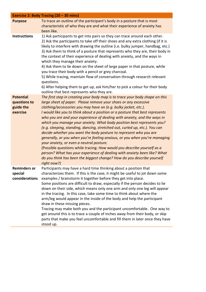|                                                           | Exercise 2: Body Tracing (20 - 30 mins)                                                                                                                                                                                                                                                                                                                                                                                                                                                                                                                                                                                                                                                                                                                                                                                                                                                                                                                                                |
|-----------------------------------------------------------|----------------------------------------------------------------------------------------------------------------------------------------------------------------------------------------------------------------------------------------------------------------------------------------------------------------------------------------------------------------------------------------------------------------------------------------------------------------------------------------------------------------------------------------------------------------------------------------------------------------------------------------------------------------------------------------------------------------------------------------------------------------------------------------------------------------------------------------------------------------------------------------------------------------------------------------------------------------------------------------|
| <b>Purpose</b>                                            | To trace an outline of the participant's body in a posture that is most<br>characteristic of who they are and what their experience of anxiety has<br>been like.                                                                                                                                                                                                                                                                                                                                                                                                                                                                                                                                                                                                                                                                                                                                                                                                                       |
| <b>Instructions</b>                                       | 1) Ask participants to get into pairs so they can trace around each other.<br>2) Ask the participants to take off their shoes and any extra clothing (if it is<br>likely to interfere with drawing the outline (i.e. bulky jumper, handbag, etc.)<br>3) Ask them to think of a posture that represents who they are, their body in<br>the context of their experience of dealing with anxiety, and the ways in<br>which they manage their anxiety.<br>4) Ask them to lie down on the sheet of large paper in that posture, while<br>you trace their body with a pencil or grey charcoal.<br>5) While tracing, maintain flow of conversation through research relevant<br>questions.<br>6) After helping them to get up, ask him/her to pick a colour for their body<br>outline that best represents who they are.                                                                                                                                                                      |
| <b>Potential</b><br>questions to<br>guide the<br>exercise | The first step in creating your body map is to trace your body shape on this<br>large sheet of paper. Please remove your shoes or any excessive<br>clothing/accessories you may have on (e.g. bulky jacket, etc.).<br>I would like you to think about a position or a posture that best represents<br>who you are and your experience of dealing with anxiety, and the ways in<br>which you manage your anxiety. What body position best represents you?<br>(e.g. sleeping, standing, dancing, stretched out, curled up, etc.). You can<br>decide whether you want the body posture to represent who you are<br>generally, or you when you're feeling anxious, or you when you're managing<br>your anxiety, or even a neutral posture.<br>(Possible questions while tracing: How would you describe yourself as a<br>person? What has your experience of dealing with anxiety been like? What<br>do you think has been the biggest change? How do you describe yourself<br>right now?) |
| <b>Reminders or</b><br>special<br>considerations          | Participants may have a hard time thinking about a position that<br>characterizes them. If this is the case, it might be useful to jot down some<br>examples / brainstorm it together before they get into place.<br>Some positions are difficult to draw, especially if the person decides to lie<br>down on their side, which means only one arm and only one leg will appear<br>in the tracing. In this case, take some time to think about where the<br>arm/leg would appear in the inside of the body and help the participant<br>draw in these missing pieces.<br>Tracing may make both you and the participant uncomfortable. One way to<br>get around this is to trace a couple of inches away from their body, or skip<br>parts that make you feel uncomfortable and fill them in later once they have<br>stood up.                                                                                                                                                           |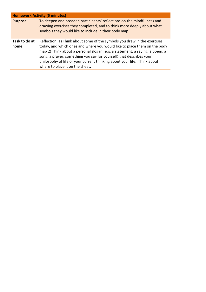| <b>Homework Activity (5 minutes)</b> |                                                                                                                                                                                                                                                                                                                                                                                                                           |  |
|--------------------------------------|---------------------------------------------------------------------------------------------------------------------------------------------------------------------------------------------------------------------------------------------------------------------------------------------------------------------------------------------------------------------------------------------------------------------------|--|
| <b>Purpose</b>                       | To deepen and broaden participants' reflections on the mindfulness and<br>drawing exercises they completed, and to think more deeply about what<br>symbols they would like to include in their body map.                                                                                                                                                                                                                  |  |
| Task to do at<br>home                | Reflection: 1) Think about some of the symbols you drew in the exercises<br>today, and which ones and where you would like to place them on the body<br>map 2) Think about a personal slogan (e.g. a statement, a saying, a poem, a<br>song, a prayer, something you say for yourself) that describes your<br>philosophy of life or your current thinking about your life. Think about<br>where to place it on the sheet. |  |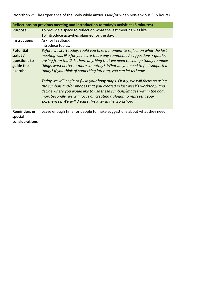Workshop 2: The Experience of the Body while anxious and/or when non-anxious (1.5 hours)

| Reflections on previous meeting and introduction to today's activities (5 minutes) |                                                                                                                                                                                                                                                                                                                                                                                                                                                                                                                                                                                                                                                                                                                                                             |
|------------------------------------------------------------------------------------|-------------------------------------------------------------------------------------------------------------------------------------------------------------------------------------------------------------------------------------------------------------------------------------------------------------------------------------------------------------------------------------------------------------------------------------------------------------------------------------------------------------------------------------------------------------------------------------------------------------------------------------------------------------------------------------------------------------------------------------------------------------|
| <b>Purpose</b>                                                                     | To provide a space to reflect on what the last meeting was like.<br>To introduce activities planned for the day.                                                                                                                                                                                                                                                                                                                                                                                                                                                                                                                                                                                                                                            |
| <b>Instructions</b>                                                                | Ask for feedback.<br>Introduce topics.                                                                                                                                                                                                                                                                                                                                                                                                                                                                                                                                                                                                                                                                                                                      |
| <b>Potential</b><br>script /<br>questions to<br>guide the<br>exercise              | Before we start today, could you take a moment to reflect on what the last<br>meeting was like for you are there any comments / suggestions / queries<br>arising from that? Is there anything that we need to change today to make<br>things work better or more smoothly? What do you need to feel supported<br>today? If you think of something later on, you can let us know.<br>Today we will begin to fill in your body maps. Firstly, we will focus on using<br>the symbols and/or images that you created in last week's workshop, and<br>decide where you would like to use these symbols/images within the body<br>map. Secondly, we will focus on creating a slogan to represent your<br>experiences. We will discuss this later in the workshop. |
| <b>Reminders or</b><br>special<br>considerations                                   | Leave enough time for people to make suggestions about what they need.                                                                                                                                                                                                                                                                                                                                                                                                                                                                                                                                                                                                                                                                                      |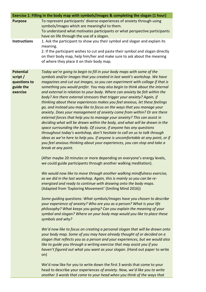| Exercise 1: Filling in the body map with symbols/images & completing the slogan (1 hour) |                                                                                                                                                                                                                                                                                                                                                                                                                                                                                                                                                                                                                                                                                                                                                                                                                                                                                                                                                                                                                                                                                                                                                                                                                                                                                           |
|------------------------------------------------------------------------------------------|-------------------------------------------------------------------------------------------------------------------------------------------------------------------------------------------------------------------------------------------------------------------------------------------------------------------------------------------------------------------------------------------------------------------------------------------------------------------------------------------------------------------------------------------------------------------------------------------------------------------------------------------------------------------------------------------------------------------------------------------------------------------------------------------------------------------------------------------------------------------------------------------------------------------------------------------------------------------------------------------------------------------------------------------------------------------------------------------------------------------------------------------------------------------------------------------------------------------------------------------------------------------------------------------|
| <b>Purpose</b>                                                                           | To represent participants' diverse experiences of anxiety through using<br>symbols/images which are meaningful to them.<br>To understand what motivates participants or what perspective participants<br>have on life through the use of a slogan.                                                                                                                                                                                                                                                                                                                                                                                                                                                                                                                                                                                                                                                                                                                                                                                                                                                                                                                                                                                                                                        |
| <b>Instructions</b>                                                                      | 1. Ask the participant to show you their symbol and slogan and explain its<br>meaning.<br>2. If the participant wishes to cut and paste their symbol and slogan directly<br>on their body map, help him/her and make sure to ask about the meaning<br>of where they place it on their body map.                                                                                                                                                                                                                                                                                                                                                                                                                                                                                                                                                                                                                                                                                                                                                                                                                                                                                                                                                                                           |
| <b>Potential</b><br>script /<br>questions to<br>guide the<br>exercise                    | Today we're going to begin to fill in your body maps with some of the<br>symbols and/or images that you created in last week's workshop. We have<br>magazines and cut out images, so you can experiment with collage if that is<br>something you would prefer. You may also begin to think about the internal<br>and external in relation to your body. Where can anxiety be felt within the<br>body? Are there external stressors that trigger your anxiety? Again, if<br>thinking about these experiences makes you feel anxious, let these feelings<br>go, and instead you may like to focus on the ways that you manage your<br>anxiety. Does your management of anxiety come from within? Or are there<br>external forces that help you to manage your anxiety? This can assist in<br>deciding what will be drawn within the body, and what will be drawn in the<br>space surrounding the body. Of course, if anyone has any questions<br>throughout today's workshop, don't hesitate to call on us to talk through<br>ideas as we're here to help you. If anyone is uncomfortable at any point, or if<br>you feel anxious thinking about your experiences, you can stop and take a<br>break at any point.<br>(After maybe 20 minutes or more depending on everyone's energy levels, |
|                                                                                          | we could guide participants through another walking meditation).<br>We would now like to move through another walking mindfulness exercise,<br>as we did in the last workshop. Again, this is mainly so you can be re-<br>energised and ready to continue with drawing onto the body maps.<br>(Adapted from 'Exploring Movement' (Smiling Mind 2016))<br>Some guiding questions: What symbols/images have you chosen to describe<br>your experience of anxiety? Who are you as a person? What is your life<br>philosophy? What keeps you going? Can you explain the meaning of your<br>symbol and slogan? Where on your body map would you like to place these<br>symbols and why?<br>We'd now like to focus on creating a personal slogan that will be drawn onto<br>your body map. Some of you may have already thought of or decided on a<br>slogan that reflects you as a person and your experiences, but we would also<br>like to guide you through a writing exercise that may assist you if you<br>haven't figured out what you want as your slogan. (Hand out paper to write<br>on)<br>We'd now like for you to write down the first 3 words that come to your                                                                                                                   |
|                                                                                          | head to describe your experiences of anxiety. Now, we'd like you to write<br>another 3 words that come to your head when you think of the ways that                                                                                                                                                                                                                                                                                                                                                                                                                                                                                                                                                                                                                                                                                                                                                                                                                                                                                                                                                                                                                                                                                                                                       |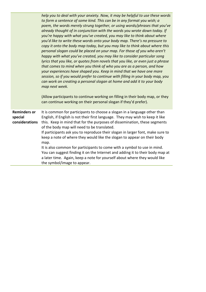*help you to deal with your anxiety. Now, it may be helpful to use these words to form a sentence of some kind. This can be in any format you wish; a poem, the words merely strung together, or using words/phrases that you've already thought of in conjunction with the words you wrote down today. If you're happy with what you've created, you may like to think about where you'd like to write these words onto your body map. There's no pressure to copy it onto the body map today, but you may like to think about where this personal slogan could be placed on your map. For those of you who aren't happy with what you've created, you may like to consider particular song lyrics that you like, or quotes from novels that you like, or even just a phrase that comes to mind when you think of who you are as a person, and how your experiences have shaped you. Keep in mind that we have one more session, so if you would prefer to continue with filling in your body map, you can work on creating a personal slogan at home and add it to your body map next week.* 

(Allow participants to continue working on filling in their body map, or they can continue working on their personal slogan if they'd prefer).

**Reminders or special considerations** It is common for participants to choose a slogan in a language other than English, if English is not their first language. They may wish to keep it like this. Keep in mind that for the purposes of dissemination, these segments of the body map will need to be translated.

> If participants ask you to reproduce their slogan in larger font, make sure to keep a note of where they would like the slogan to appear on their body map.

> It is also common for participants to come with a symbol to use in mind. You can suggest finding it on the Internet and adding it to their body map at a later time. Again, keep a note for yourself about where they would like the symbol/image to appear.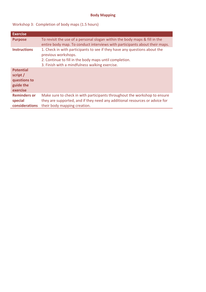#### **Body Mapping**

### Workshop 3: Completion of body maps (1.5 hours)

| <b>Exercise</b>                                                       |                                                                                                                                                                                                              |
|-----------------------------------------------------------------------|--------------------------------------------------------------------------------------------------------------------------------------------------------------------------------------------------------------|
| <b>Purpose</b>                                                        | To revisit the use of a personal slogan within the body maps & fill in the<br>entire body map. To conduct interviews with participants about their maps.                                                     |
| <b>Instructions</b>                                                   | 1. Check in with participants to see if they have any questions about the<br>previous workshops.<br>2. Continue to fill in the body maps until completion.<br>3. Finish with a mindfulness walking exercise. |
| <b>Potential</b><br>script /<br>questions to<br>guide the<br>exercise |                                                                                                                                                                                                              |
| <b>Reminders or</b><br>special<br>considerations                      | Make sure to check in with participants throughout the workshop to ensure<br>they are supported, and if they need any additional resources or advice for<br>their body mapping creation.                     |